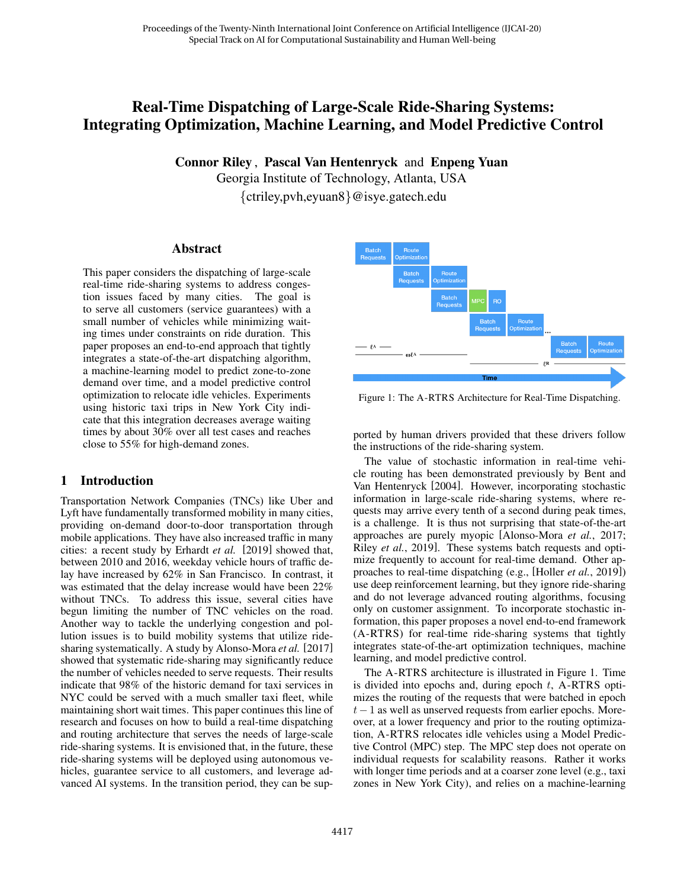# Real-Time Dispatching of Large-Scale Ride-Sharing Systems: Integrating Optimization, Machine Learning, and Model Predictive Control

Connor Riley , Pascal Van Hentenryck and Enpeng Yuan

Georgia Institute of Technology, Atlanta, USA {ctriley,pvh,eyuan8}@isye.gatech.edu

### Abstract

This paper considers the dispatching of large-scale real-time ride-sharing systems to address congestion issues faced by many cities. The goal is to serve all customers (service guarantees) with a small number of vehicles while minimizing waiting times under constraints on ride duration. This paper proposes an end-to-end approach that tightly integrates a state-of-the-art dispatching algorithm, a machine-learning model to predict zone-to-zone demand over time, and a model predictive control optimization to relocate idle vehicles. Experiments using historic taxi trips in New York City indicate that this integration decreases average waiting times by about 30% over all test cases and reaches close to 55% for high-demand zones.

# 1 Introduction

Transportation Network Companies (TNCs) like Uber and Lyft have fundamentally transformed mobility in many cities, providing on-demand door-to-door transportation through mobile applications. They have also increased traffic in many cities: a recent study by [Erhardt](#page-6-0) *et al.* [\[2019\]](#page-6-0) showed that, between 2010 and 2016, weekday vehicle hours of traffic delay have increased by 62% in San Francisco. In contrast, it was estimated that the delay increase would have been 22% without TNCs. To address this issue, several cities have begun limiting the number of TNC vehicles on the road. Another way to tackle the underlying congestion and pollution issues is to build mobility systems that utilize ridesharing systematically. A study by [Alonso-Mora](#page-5-0) *et al.* [\[2017\]](#page-5-0) showed that systematic ride-sharing may significantly reduce the number of vehicles needed to serve requests. Their results indicate that 98% of the historic demand for taxi services in NYC could be served with a much smaller taxi fleet, while maintaining short wait times. This paper continues this line of research and focuses on how to build a real-time dispatching and routing architecture that serves the needs of large-scale ride-sharing systems. It is envisioned that, in the future, these ride-sharing systems will be deployed using autonomous vehicles, guarantee service to all customers, and leverage advanced AI systems. In the transition period, they can be sup-

<span id="page-0-0"></span>

Figure 1: The A-RTRS Architecture for Real-Time Dispatching.

ported by human drivers provided that these drivers follow the instructions of the ride-sharing system.

The value of stochastic information in real-time vehicle routing has been demonstrated previously by [Bent and](#page-6-1) [Van Hentenryck](#page-6-1) [\[2004\]](#page-6-1). However, incorporating stochastic information in large-scale ride-sharing systems, where requests may arrive every tenth of a second during peak times, is a challenge. It is thus not surprising that state-of-the-art approaches are purely myopic [\[Alonso-Mora](#page-5-0) *et al.*, 2017; Riley *et al.*[, 2019\]](#page-6-2). These systems batch requests and optimize frequently to account for real-time demand. Other approaches to real-time dispatching (e.g., [\[Holler](#page-6-3) *et al.*, 2019]) use deep reinforcement learning, but they ignore ride-sharing and do not leverage advanced routing algorithms, focusing only on customer assignment. To incorporate stochastic information, this paper proposes a novel end-to-end framework (A-RTRS) for real-time ride-sharing systems that tightly integrates state-of-the-art optimization techniques, machine learning, and model predictive control.

The A-RTRS architecture is illustrated in Figure [1.](#page-0-0) Time is divided into epochs and, during epoch  $t$ , A-RTRS optimizes the routing of the requests that were batched in epoch  $t-1$  as well as unserved requests from earlier epochs. Moreover, at a lower frequency and prior to the routing optimization, A-RTRS relocates idle vehicles using a Model Predictive Control (MPC) step. The MPC step does not operate on individual requests for scalability reasons. Rather it works with longer time periods and at a coarser zone level (e.g., taxi zones in New York City), and relies on a machine-learning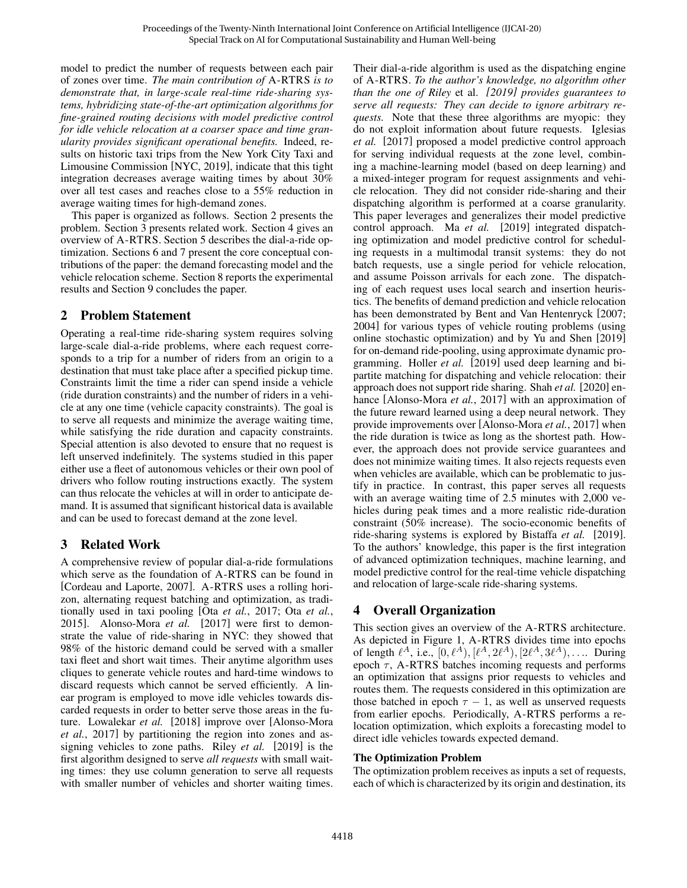model to predict the number of requests between each pair of zones over time. *The main contribution of* A-RTRS *is to demonstrate that, in large-scale real-time ride-sharing systems, hybridizing state-of-the-art optimization algorithms for fine-grained routing decisions with model predictive control for idle vehicle relocation at a coarser space and time granularity provides significant operational benefits.* Indeed, results on historic taxi trips from the New York City Taxi and Limousine Commission [\[NYC, 2019\]](#page-6-4), indicate that this tight integration decreases average waiting times by about 30% over all test cases and reaches close to a 55% reduction in average waiting times for high-demand zones.

This paper is organized as follows. Section [2](#page-1-0) presents the problem. Section [3](#page-1-1) presents related work. Section [4](#page-1-2) gives an overview of A-RTRS. Section [5](#page-2-0) describes the dial-a-ride optimization. Sections [6](#page-2-1) and [7](#page-3-0) present the core conceptual contributions of the paper: the demand forecasting model and the vehicle relocation scheme. Section [8](#page-4-0) reports the experimental results and Section [9](#page-5-1) concludes the paper.

# <span id="page-1-0"></span>2 Problem Statement

Operating a real-time ride-sharing system requires solving large-scale dial-a-ride problems, where each request corresponds to a trip for a number of riders from an origin to a destination that must take place after a specified pickup time. Constraints limit the time a rider can spend inside a vehicle (ride duration constraints) and the number of riders in a vehicle at any one time (vehicle capacity constraints). The goal is to serve all requests and minimize the average waiting time, while satisfying the ride duration and capacity constraints. Special attention is also devoted to ensure that no request is left unserved indefinitely. The systems studied in this paper either use a fleet of autonomous vehicles or their own pool of drivers who follow routing instructions exactly. The system can thus relocate the vehicles at will in order to anticipate demand. It is assumed that significant historical data is available and can be used to forecast demand at the zone level.

# <span id="page-1-1"></span>3 Related Work

A comprehensive review of popular dial-a-ride formulations which serve as the foundation of A-RTRS can be found in [\[Cordeau and Laporte, 2007\]](#page-6-5). A-RTRS uses a rolling horizon, alternating request batching and optimization, as traditionally used in taxi pooling [Ota *et al.*[, 2017;](#page-6-6) Ota *[et al.](#page-6-7)*, [2015\]](#page-6-7). [Alonso-Mora](#page-5-0) *et al.* [\[2017\]](#page-5-0) were first to demonstrate the value of ride-sharing in NYC: they showed that 98% of the historic demand could be served with a smaller taxi fleet and short wait times. Their anytime algorithm uses cliques to generate vehicle routes and hard-time windows to discard requests which cannot be served efficiently. A linear program is employed to move idle vehicles towards discarded requests in order to better serve those areas in the future. [Lowalekar](#page-6-8) *et al.* [\[2018\]](#page-6-8) improve over [\[Alonso-Mora](#page-5-0) *et al.*[, 2017\]](#page-5-0) by partitioning the region into zones and assigning vehicles to zone paths. [Riley](#page-6-2) *et al.* [\[2019\]](#page-6-2) is the first algorithm designed to serve *all requests* with small waiting times: they use column generation to serve all requests with smaller number of vehicles and shorter waiting times. Their dial-a-ride algorithm is used as the dispatching engine of A-RTRS. *To the author's knowledge, no algorithm other than the one of [Riley](#page-6-2)* et al. *[\[2019\]](#page-6-2) provides guarantees to serve all requests: They can decide to ignore arbitrary requests.* Note that these three algorithms are myopic: they do not exploit information about future requests. [Iglesias](#page-6-9) *[et al.](#page-6-9)* [\[2017\]](#page-6-9) proposed a model predictive control approach for serving individual requests at the zone level, combining a machine-learning model (based on deep learning) and a mixed-integer program for request assignments and vehicle relocation. They did not consider ride-sharing and their dispatching algorithm is performed at a coarse granularity. This paper leverages and generalizes their model predictive control approach. Ma *[et al.](#page-6-10)* [\[2019\]](#page-6-10) integrated dispatching optimization and model predictive control for scheduling requests in a multimodal transit systems: they do not batch requests, use a single period for vehicle relocation, and assume Poisson arrivals for each zone. The dispatching of each request uses local search and insertion heuristics. The benefits of demand prediction and vehicle relocation has been demonstrated by Bent and Van Hentenryck [\[2007;](#page-6-11) [2004\]](#page-6-1) for various types of vehicle routing problems (using online stochastic optimization) and by [Yu and Shen](#page-6-12) [\[2019\]](#page-6-12) for on-demand ride-pooling, using approximate dynamic programming. [Holler](#page-6-3) *et al.* [\[2019\]](#page-6-3) used deep learning and bipartite matching for dispatching and vehicle relocation: their approach does not support ride sharing. [Shah](#page-6-13) *et al.* [\[2020\]](#page-6-13) enhance [\[Alonso-Mora](#page-5-0) *et al.*, 2017] with an approximation of the future reward learned using a deep neural network. They provide improvements over [\[Alonso-Mora](#page-5-0) *et al.*, 2017] when the ride duration is twice as long as the shortest path. However, the approach does not provide service guarantees and does not minimize waiting times. It also rejects requests even when vehicles are available, which can be problematic to justify in practice. In contrast, this paper serves all requests with an average waiting time of 2.5 minutes with 2,000 vehicles during peak times and a more realistic ride-duration constraint (50% increase). The socio-economic benefits of ride-sharing systems is explored by [Bistaffa](#page-6-14) *et al.* [\[2019\]](#page-6-14). To the authors' knowledge, this paper is the first integration of advanced optimization techniques, machine learning, and model predictive control for the real-time vehicle dispatching and relocation of large-scale ride-sharing systems.

# <span id="page-1-2"></span>4 Overall Organization

This section gives an overview of the A-RTRS architecture. As depicted in Figure [1,](#page-0-0) A-RTRS divides time into epochs of length  $\ell^A$ , i.e.,  $[0, \ell^A), [\ell^A, 2\ell^A), [2\ell^A, 3\ell^A), \ldots$  During epoch  $\tau$ , A-RTRS batches incoming requests and performs an optimization that assigns prior requests to vehicles and routes them. The requests considered in this optimization are those batched in epoch  $\tau - 1$ , as well as unserved requests from earlier epochs. Periodically, A-RTRS performs a relocation optimization, which exploits a forecasting model to direct idle vehicles towards expected demand.

# The Optimization Problem

The optimization problem receives as inputs a set of requests, each of which is characterized by its origin and destination, its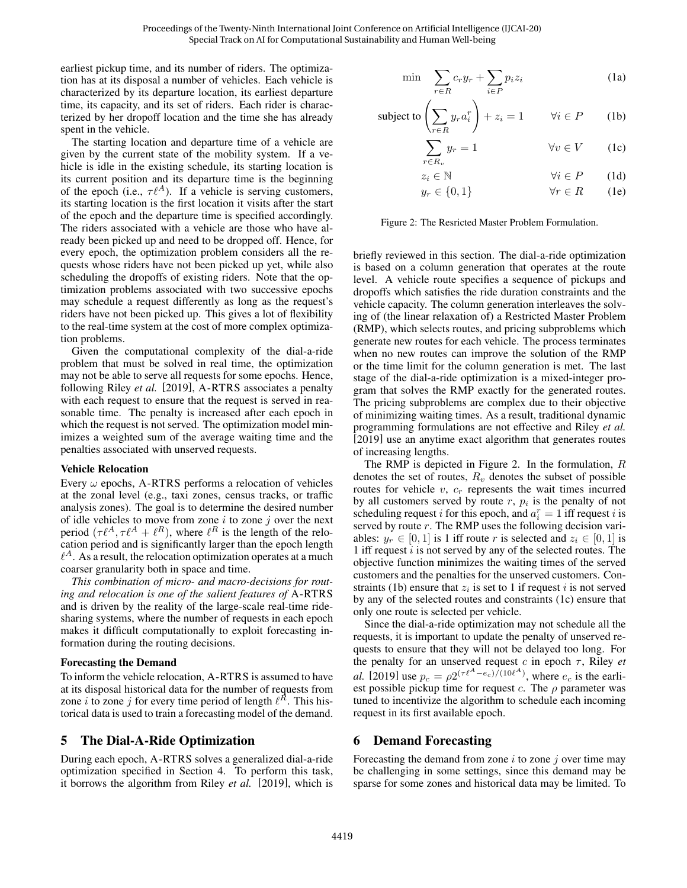earliest pickup time, and its number of riders. The optimization has at its disposal a number of vehicles. Each vehicle is characterized by its departure location, its earliest departure time, its capacity, and its set of riders. Each rider is characterized by her dropoff location and the time she has already spent in the vehicle.

The starting location and departure time of a vehicle are given by the current state of the mobility system. If a vehicle is idle in the existing schedule, its starting location is its current position and its departure time is the beginning of the epoch (i.e.,  $\tau \ell^A$ ). If a vehicle is serving customers, its starting location is the first location it visits after the start of the epoch and the departure time is specified accordingly. The riders associated with a vehicle are those who have already been picked up and need to be dropped off. Hence, for every epoch, the optimization problem considers all the requests whose riders have not been picked up yet, while also scheduling the dropoffs of existing riders. Note that the optimization problems associated with two successive epochs may schedule a request differently as long as the request's riders have not been picked up. This gives a lot of flexibility to the real-time system at the cost of more complex optimization problems.

Given the computational complexity of the dial-a-ride problem that must be solved in real time, the optimization may not be able to serve all requests for some epochs. Hence, following [Riley](#page-6-2) *et al.* [\[2019\]](#page-6-2), A-RTRS associates a penalty with each request to ensure that the request is served in reasonable time. The penalty is increased after each epoch in which the request is not served. The optimization model minimizes a weighted sum of the average waiting time and the penalties associated with unserved requests.

### Vehicle Relocation

Every  $\omega$  epochs, A-RTRS performs a relocation of vehicles at the zonal level (e.g., taxi zones, census tracks, or traffic analysis zones). The goal is to determine the desired number of idle vehicles to move from zone  $i$  to zone  $j$  over the next period  $(\tau \ell^A, \tau \ell^A + \ell^R)$ , where  $\ell^R$  is the length of the relocation period and is significantly larger than the epoch length  $\ell^A$ . As a result, the relocation optimization operates at a much coarser granularity both in space and time.

*This combination of micro- and macro-decisions for routing and relocation is one of the salient features of* A-RTRS and is driven by the reality of the large-scale real-time ridesharing systems, where the number of requests in each epoch makes it difficult computationally to exploit forecasting information during the routing decisions.

### Forecasting the Demand

To inform the vehicle relocation, A-RTRS is assumed to have at its disposal historical data for the number of requests from zone *i* to zone *j* for every time period of length  $\ell^{\bar{R}}$ . This historical data is used to train a forecasting model of the demand.

# <span id="page-2-0"></span>5 The Dial-A-Ride Optimization

During each epoch, A-RTRS solves a generalized dial-a-ride optimization specified in Section [4.](#page-1-2) To perform this task, it borrows the algorithm from [Riley](#page-6-2) *et al.* [\[2019\]](#page-6-2), which is

$$
\min \quad \sum_{r \in R} c_r y_r + \sum_{i \in P} p_i z_i \tag{1a}
$$

<span id="page-2-2"></span>subject to 
$$
\left(\sum_{r \in R} y_r a_i^r\right) + z_i = 1 \qquad \forall i \in P \qquad (1b)
$$

<span id="page-2-4"></span><span id="page-2-3"></span>
$$
\sum_{r \in R_v} y_r = 1 \qquad \forall v \in V \qquad (1c)
$$

$$
z_i \in \mathbb{N} \qquad \qquad \forall i \in P \qquad (1d)
$$

$$
y_r \in \{0, 1\} \qquad \forall r \in R \qquad (1e)
$$

Figure 2: The Resricted Master Problem Formulation.

briefly reviewed in this section. The dial-a-ride optimization is based on a column generation that operates at the route level. A vehicle route specifies a sequence of pickups and dropoffs which satisfies the ride duration constraints and the vehicle capacity. The column generation interleaves the solving of (the linear relaxation of) a Restricted Master Problem (RMP), which selects routes, and pricing subproblems which generate new routes for each vehicle. The process terminates when no new routes can improve the solution of the RMP or the time limit for the column generation is met. The last stage of the dial-a-ride optimization is a mixed-integer program that solves the RMP exactly for the generated routes. The pricing subproblems are complex due to their objective of minimizing waiting times. As a result, traditional dynamic programming formulations are not effective and [Riley](#page-6-2) *et al.* [\[2019\]](#page-6-2) use an anytime exact algorithm that generates routes of increasing lengths.

The RMP is depicted in Figure [2.](#page-2-2) In the formulation,  $R$ denotes the set of routes,  $R_v$  denotes the subset of possible routes for vehicle  $v$ ,  $c_r$  represents the wait times incurred by all customers served by route  $r$ ,  $p_i$  is the penalty of not scheduling request *i* for this epoch, and  $a_i^r = 1$  iff request *i* is served by route r. The RMP uses the following decision variables:  $y_r \in [0, 1]$  is 1 iff route r is selected and  $z_i \in [0, 1]$  is 1 iff request  $i$  is not served by any of the selected routes. The objective function minimizes the waiting times of the served customers and the penalties for the unserved customers. Con-straints [\(1b\)](#page-2-3) ensure that  $z_i$  is set to 1 if request i is not served by any of the selected routes and constraints [\(1c\)](#page-2-4) ensure that only one route is selected per vehicle.

Since the dial-a-ride optimization may not schedule all the requests, it is important to update the penalty of unserved requests to ensure that they will not be delayed too long. For the penalty for an unserved request  $c$  in epoch  $\tau$ , [Riley](#page-6-2) *et [al.](#page-6-2)* [\[2019\]](#page-6-2) use  $p_c = \rho 2^{(\tau \ell^A - e_c)/(10\ell^A)}$ , where  $e_c$  is the earliest possible pickup time for request c. The  $\rho$  parameter was tuned to incentivize the algorithm to schedule each incoming request in its first available epoch.

# <span id="page-2-1"></span>6 Demand Forecasting

Forecasting the demand from zone  $i$  to zone  $j$  over time may be challenging in some settings, since this demand may be sparse for some zones and historical data may be limited. To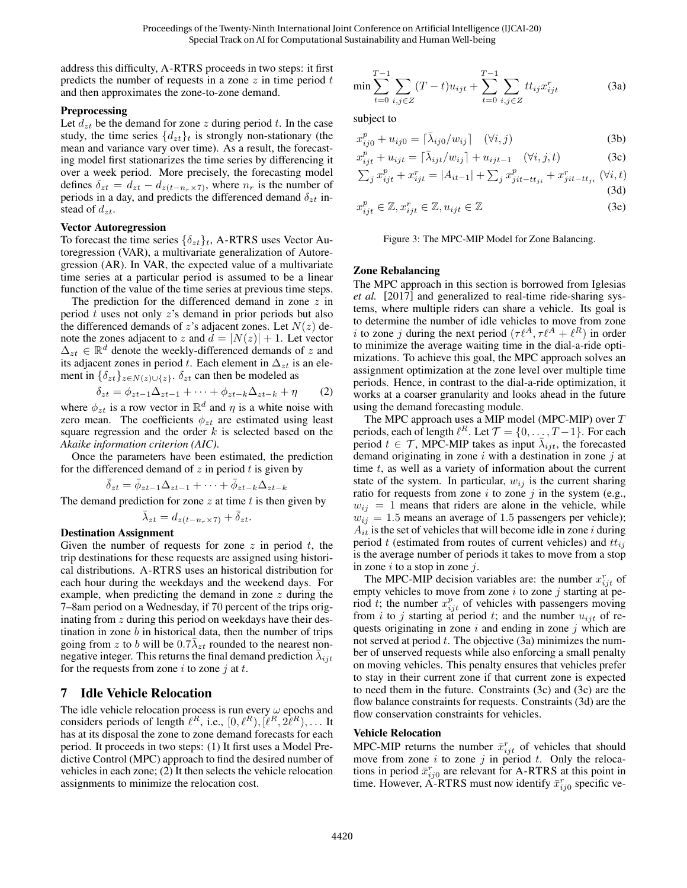address this difficulty, A-RTRS proceeds in two steps: it first predicts the number of requests in a zone  $z$  in time period  $t$ and then approximates the zone-to-zone demand.

#### Preprocessing

Let  $d_{zt}$  be the demand for zone z during period t. In the case study, the time series  $\{d_{zt}\}\$ t is strongly non-stationary (the mean and variance vary over time). As a result, the forecasting model first stationarizes the time series by differencing it over a week period. More precisely, the forecasting model defines  $\delta_{zt} = d_{zt} - d_{z(t-n_r \times 7)}$ , where  $n_r$  is the number of periods in a day, and predicts the differenced demand  $\delta_{zt}$  instead of  $d_{zt}$ .

#### Vector Autoregression

To forecast the time series  $\{\delta_{zt}\}_t$ , A-RTRS uses Vector Autoregression (VAR), a multivariate generalization of Autoregression (AR). In VAR, the expected value of a multivariate time series at a particular period is assumed to be a linear function of the value of the time series at previous time steps.

The prediction for the differenced demand in zone  $z$  in period  $t$  uses not only  $z$ 's demand in prior periods but also the differenced demands of z's adjacent zones. Let  $N(z)$  denote the zones adjacent to z and  $d = |N(z)| + 1$ . Let vector  $\Delta_{zt} \in \mathbb{R}^d$  denote the weekly-differenced demands of z and its adjacent zones in period t. Each element in  $\Delta_{zt}$  is an element in  $\{\delta_{zt}\}_{z\in N(z)\cup\{z\}}$ .  $\delta_{zt}$  can then be modeled as

$$
\delta_{zt} = \phi_{zt-1}\Delta_{zt-1} + \dots + \phi_{zt-k}\Delta_{zt-k} + \eta \tag{2}
$$

where  $\phi_{zt}$  is a row vector in  $\mathbb{R}^d$  and  $\eta$  is a white noise with zero mean. The coefficients  $\phi_{zt}$  are estimated using least square regression and the order  $k$  is selected based on the *Akaike information criterion (AIC)*.

Once the parameters have been estimated, the prediction for the differenced demand of  $z$  in period  $t$  is given by

$$
\bar{\delta}_{zt} = \bar{\phi}_{zt-1}\Delta_{zt-1} + \cdots + \bar{\phi}_{zt-k}\Delta_{zt-k}
$$

The demand prediction for zone  $z$  at time  $t$  is then given by

$$
\bar{\lambda}_{zt} = d_{z(t-n_r \times 7)} + \bar{\delta}_{zt}.
$$

Destination Assignment

Given the number of requests for zone  $z$  in period  $t$ , the trip destinations for these requests are assigned using historical distributions. A-RTRS uses an historical distribution for each hour during the weekdays and the weekend days. For example, when predicting the demand in zone z during the 7–8am period on a Wednesday, if 70 percent of the trips originating from z during this period on weekdays have their destination in zone  $b$  in historical data, then the number of trips going from z to b will be  $0.7\bar{\lambda}_{zt}$  rounded to the nearest nonnegative integer. This returns the final demand prediction  $\bar{\lambda}_{ijt}$ for the requests from zone i to zone j at t.

# <span id="page-3-0"></span>7 Idle Vehicle Relocation

The idle vehicle relocation process is run every  $\omega$  epochs and considers periods of length  $\ell^R$ , i.e.,  $[0, \ell^R), [\ell^R, 2\ell^R), \ldots$  It has at its disposal the zone to zone demand forecasts for each period. It proceeds in two steps: (1) It first uses a Model Predictive Control (MPC) approach to find the desired number of vehicles in each zone; (2) It then selects the vehicle relocation assignments to minimize the relocation cost.

<span id="page-3-2"></span><span id="page-3-1"></span>
$$
\min \sum_{t=0}^{T-1} \sum_{i,j \in Z} (T-t) u_{ijt} + \sum_{t=0}^{T-1} \sum_{i,j \in Z} t t_{ij} x_{ijt}^r
$$
 (3a)

subject to

$$
x_{ij0}^p + u_{ij0} = \lceil \bar{\lambda}_{ij0} / w_{ij} \rceil \quad (\forall i, j)
$$
 (3b)

$$
x_{ijt}^p + u_{ijt} = \lceil \bar{\lambda}_{ijt}/w_{ij} \rceil + u_{ijt-1} \quad (\forall i, j, t)
$$
 (3c)

$$
\sum_{j} x_{ijt}^{p} + x_{ijt}^{r} = |A_{it-1}| + \sum_{j} x_{jit - tt_{ji}}^{p} + x_{jit - tt_{ji}}^{r} (\forall i, t)
$$
\n(3d)

$$
x_{ijt}^p \in \mathbb{Z}, x_{ijt}^r \in \mathbb{Z}, u_{ijt} \in \mathbb{Z}
$$
 (3e)

<span id="page-3-4"></span><span id="page-3-3"></span>Figure 3: The MPC-MIP Model for Zone Balancing.

#### Zone Rebalancing

The MPC approach in this section is borrowed from [Iglesias](#page-6-9) *[et al.](#page-6-9)* [\[2017\]](#page-6-9) and generalized to real-time ride-sharing systems, where multiple riders can share a vehicle. Its goal is to determine the number of idle vehicles to move from zone *i* to zone *j* during the next period  $(\tau \ell^A, \tau \ell^A + \ell^R)$  in order to minimize the average waiting time in the dial-a-ride optimizations. To achieve this goal, the MPC approach solves an assignment optimization at the zone level over multiple time periods. Hence, in contrast to the dial-a-ride optimization, it works at a coarser granularity and looks ahead in the future using the demand forecasting module.

The MPC approach uses a MIP model (MPC-MIP) over T periods, each of length  $\ell^R$ . Let  $\mathcal{T} = \{0, \ldots, T-1\}$ . For each period  $t \in \mathcal{T}$ , MPC-MIP takes as input  $\bar{\lambda}_{ijt}$ , the forecasted demand originating in zone  $i$  with a destination in zone  $j$  at time  $t$ , as well as a variety of information about the current state of the system. In particular,  $w_{ij}$  is the current sharing ratio for requests from zone  $i$  to zone  $j$  in the system (e.g.,  $w_{ij} = 1$  means that riders are alone in the vehicle, while  $w_{ij} = 1.5$  means an average of 1.5 passengers per vehicle);  $A_{it}$  is the set of vehicles that will become idle in zone *i* during period t (estimated from routes of current vehicles) and  $tt_{ij}$ is the average number of periods it takes to move from a stop in zone  $i$  to a stop in zone  $j$ .

The MPC-MIP decision variables are: the number  $x_{ijt}^r$  of empty vehicles to move from zone  $i$  to zone  $j$  starting at period t; the number  $x_{ijt}^p$  of vehicles with passengers moving from i to j starting at period t; and the number  $u_{ijt}$  of requests originating in zone  $i$  and ending in zone  $j$  which are not served at period  $t$ . The objective  $(3a)$  minimizes the number of unserved requests while also enforcing a small penalty on moving vehicles. This penalty ensures that vehicles prefer to stay in their current zone if that current zone is expected to need them in the future. Constraints [\(3c\)](#page-3-2) and [\(3c\)](#page-3-2) are the flow balance constraints for requests. Constraints [\(3d\)](#page-3-3) are the flow conservation constraints for vehicles.

#### Vehicle Relocation

MPC-MIP returns the number  $\bar{x}_{ijt}^r$  of vehicles that should move from zone i to zone j in period t. Only the relocations in period  $\bar{x}_{ij0}^r$  are relevant for A-RTRS at this point in time. However, A-RTRS must now identify  $\bar{x}_{ij0}^r$  specific ve-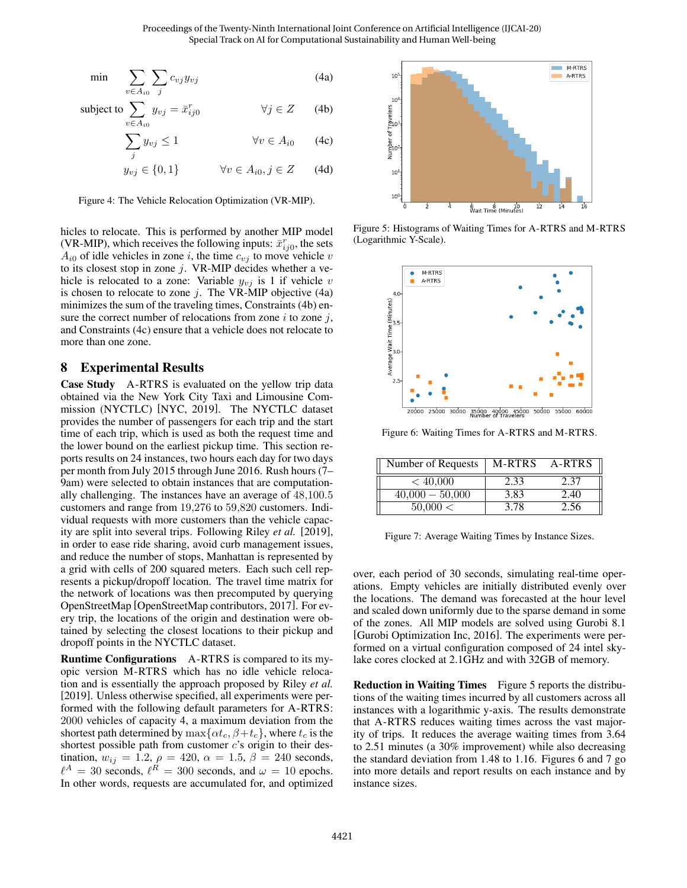$$
\min \sum_{v \in A_{i0}} \sum_{j} c_{vj} y_{vj} \tag{4a}
$$

subject to 
$$
\sum_{v \in A_{i0}} y_{vj} = \bar{x}_{ij0}^r \qquad \forall j \in Z \qquad (4b)
$$

$$
\sum_{j} y_{vj} \le 1 \qquad \qquad \forall v \in A_{i0} \qquad (4c)
$$

$$
y_{vj} \in \{0, 1\} \qquad \forall v \in A_{i0}, j \in Z \qquad (4d)
$$

Figure 4: The Vehicle Relocation Optimization (VR-MIP).

hicles to relocate. This is performed by another MIP model (VR-MIP), which receives the following inputs:  $\bar{x}_{ij0}^r$ , the sets  $A_{i0}$  of idle vehicles in zone i, the time  $c_{vj}$  to move vehicle v to its closest stop in zone  $j$ . VR-MIP decides whether a vehicle is relocated to a zone: Variable  $y_{vj}$  is 1 if vehicle v is chosen to relocate to zone  $j$ . The VR-MIP objective  $(4a)$ minimizes the sum of the traveling times, Constraints [\(4b\)](#page-3-4) ensure the correct number of relocations from zone  $i$  to zone  $j$ , and Constraints [\(4c\)](#page-3-2) ensure that a vehicle does not relocate to more than one zone.

### <span id="page-4-0"></span>8 Experimental Results

Case Study A-RTRS is evaluated on the yellow trip data obtained via the New York City Taxi and Limousine Commission (NYCTLC) [\[NYC, 2019\]](#page-6-4). The NYCTLC dataset provides the number of passengers for each trip and the start time of each trip, which is used as both the request time and the lower bound on the earliest pickup time. This section reports results on 24 instances, two hours each day for two days per month from July 2015 through June 2016. Rush hours (7– 9am) were selected to obtain instances that are computationally challenging. The instances have an average of 48,100.5 customers and range from 19,276 to 59,820 customers. Individual requests with more customers than the vehicle capacity are split into several trips. Following [Riley](#page-6-2) *et al.* [\[2019\]](#page-6-2), in order to ease ride sharing, avoid curb management issues, and reduce the number of stops, Manhattan is represented by a grid with cells of 200 squared meters. Each such cell represents a pickup/dropoff location. The travel time matrix for the network of locations was then precomputed by querying OpenStreetMap [\[OpenStreetMap contributors, 2017\]](#page-6-15). For every trip, the locations of the origin and destination were obtained by selecting the closest locations to their pickup and dropoff points in the NYCTLC dataset.

Runtime Configurations A-RTRS is compared to its myopic version M-RTRS which has no idle vehicle relocation and is essentially the approach proposed by [Riley](#page-6-2) *et al.* [\[2019\]](#page-6-2). Unless otherwise specified, all experiments were performed with the following default parameters for A-RTRS: 2000 vehicles of capacity 4, a maximum deviation from the shortest path determined by  $\max\{\alpha t_c, \beta+t_c\}$ , where  $t_c$  is the shortest possible path from customer  $c$ 's origin to their destination,  $w_{ij} = 1.2$ ,  $\rho = 420$ ,  $\alpha = 1.5$ ,  $\beta = 240$  seconds,  $\ell^A = 30$  seconds,  $\ell^R = 300$  seconds, and  $\omega = 10$  epochs. In other words, requests are accumulated for, and optimized

<span id="page-4-1"></span>

Figure 5: Histograms of Waiting Times for A-RTRS and M-RTRS (Logarithmic Y-Scale).

<span id="page-4-2"></span>

Figure 6: Waiting Times for A-RTRS and M-RTRS.

<span id="page-4-3"></span>

| Number of Requests | M-RTRS | A-RTRS |
|--------------------|--------|--------|
| < 40,000           | 2.33   | 2.37   |
| $40,000 - 50,000$  | 3.83   | 2.40   |
| 50.000 <           | 3.78   | 2.56   |

Figure 7: Average Waiting Times by Instance Sizes.

over, each period of 30 seconds, simulating real-time operations. Empty vehicles are initially distributed evenly over the locations. The demand was forecasted at the hour level and scaled down uniformly due to the sparse demand in some of the zones. All MIP models are solved using Gurobi 8.1 [\[Gurobi Optimization Inc, 2016\]](#page-6-16). The experiments were performed on a virtual configuration composed of 24 intel skylake cores clocked at 2.1GHz and with 32GB of memory.

Reduction in Waiting Times Figure [5](#page-4-1) reports the distributions of the waiting times incurred by all customers across all instances with a logarithmic y-axis. The results demonstrate that A-RTRS reduces waiting times across the vast majority of trips. It reduces the average waiting times from 3.64 to 2.51 minutes (a 30% improvement) while also decreasing the standard deviation from 1.48 to 1.16. Figures [6](#page-4-2) and [7](#page-4-3) go into more details and report results on each instance and by instance sizes.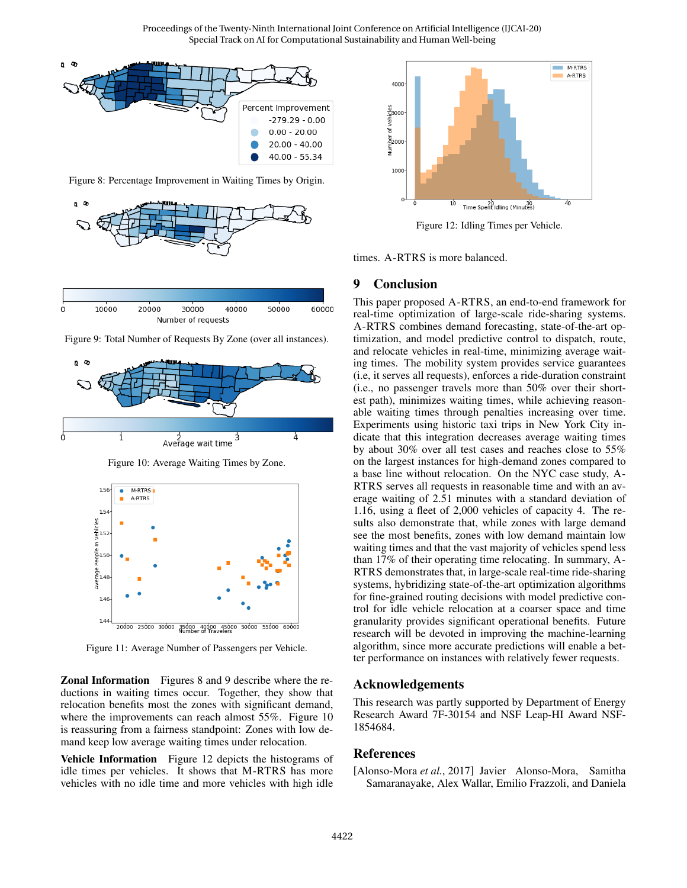<span id="page-5-2"></span>

Figure 8: Percentage Improvement in Waiting Times by Origin.

<span id="page-5-3"></span>

10000 20000 30000 40000 50000 60000  $\Omega$ Number of requests



<span id="page-5-4"></span>

Figure 10: Average Waiting Times by Zone.



Figure 11: Average Number of Passengers per Vehicle.

Zonal Information Figures [8](#page-5-2) and [9](#page-5-3) describe where the reductions in waiting times occur. Together, they show that relocation benefits most the zones with significant demand, where the improvements can reach almost 55%. Figure [10](#page-5-4) is reassuring from a fairness standpoint: Zones with low demand keep low average waiting times under relocation.

Vehicle Information Figure [12](#page-5-5) depicts the histograms of idle times per vehicles. It shows that M-RTRS has more vehicles with no idle time and more vehicles with high idle

<span id="page-5-5"></span>

Figure 12: Idling Times per Vehicle.

times. A-RTRS is more balanced.

### <span id="page-5-1"></span>9 Conclusion

This paper proposed A-RTRS, an end-to-end framework for real-time optimization of large-scale ride-sharing systems. A-RTRS combines demand forecasting, state-of-the-art optimization, and model predictive control to dispatch, route, and relocate vehicles in real-time, minimizing average waiting times. The mobility system provides service guarantees (i.e, it serves all requests), enforces a ride-duration constraint (i.e., no passenger travels more than 50% over their shortest path), minimizes waiting times, while achieving reasonable waiting times through penalties increasing over time. Experiments using historic taxi trips in New York City indicate that this integration decreases average waiting times by about 30% over all test cases and reaches close to 55% on the largest instances for high-demand zones compared to a base line without relocation. On the NYC case study, A-RTRS serves all requests in reasonable time and with an average waiting of 2.51 minutes with a standard deviation of 1.16, using a fleet of 2,000 vehicles of capacity 4. The results also demonstrate that, while zones with large demand see the most benefits, zones with low demand maintain low waiting times and that the vast majority of vehicles spend less than 17% of their operating time relocating. In summary, A-RTRS demonstrates that, in large-scale real-time ride-sharing systems, hybridizing state-of-the-art optimization algorithms for fine-grained routing decisions with model predictive control for idle vehicle relocation at a coarser space and time granularity provides significant operational benefits. Future research will be devoted in improving the machine-learning algorithm, since more accurate predictions will enable a better performance on instances with relatively fewer requests.

### Acknowledgements

This research was partly supported by Department of Energy Research Award 7F-30154 and NSF Leap-HI Award NSF-1854684.

### References

<span id="page-5-0"></span>[Alonso-Mora *et al.*, 2017] Javier Alonso-Mora, Samitha Samaranayake, Alex Wallar, Emilio Frazzoli, and Daniela